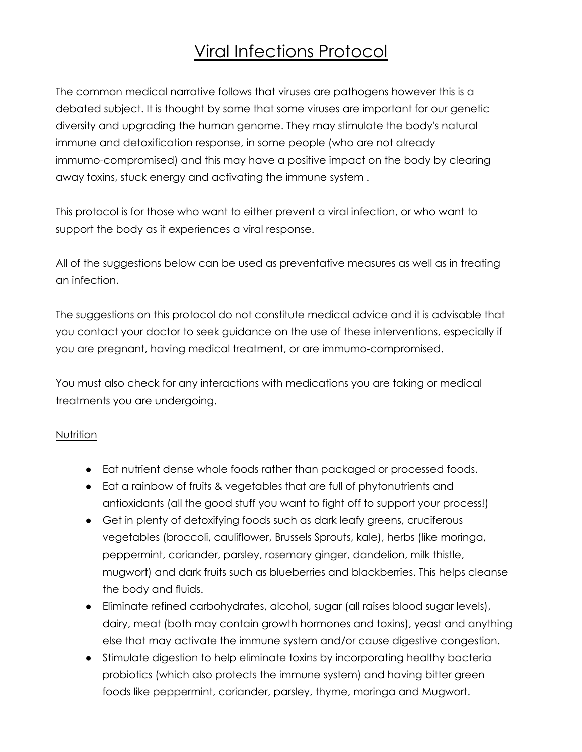# Viral Infections Protocol

The common medical narrative follows that viruses are pathogens however this is a debated subject. It is thought by some that some viruses are important for our genetic diversity and upgrading the human genome. They may stimulate the body's natural immune and detoxification response, in some people (who are not already immumo-compromised) and this may have a positive impact on the body by clearing away toxins, stuck energy and activating the immune system .

This protocol is for those who want to either prevent a viral infection, or who want to support the body as it experiences a viral response.

All of the suggestions below can be used as preventative measures as well as in treating an infection.

The suggestions on this protocol do not constitute medical advice and it is advisable that you contact your doctor to seek guidance on the use of these interventions, especially if you are pregnant, having medical treatment, or are immumo-compromised.

You must also check for any interactions with medications you are taking or medical treatments you are undergoing.

#### Nutrition

- Eat nutrient dense whole foods rather than packaged or processed foods.
- Eat a rainbow of fruits & vegetables that are full of phytonutrients and antioxidants (all the good stuff you want to fight off to support your process!)
- Get in plenty of detoxifying foods such as dark leafy greens, cruciferous vegetables (broccoli, cauliflower, Brussels Sprouts, kale), herbs (like moringa, peppermint, coriander, parsley, rosemary ginger, dandelion, milk thistle, mugwort) and dark fruits such as blueberries and blackberries. This helps cleanse the body and fluids.
- Eliminate refined carbohydrates, alcohol, sugar (all raises blood sugar levels), dairy, meat (both may contain growth hormones and toxins), yeast and anything else that may activate the immune system and/or cause digestive congestion.
- Stimulate digestion to help eliminate toxins by incorporating healthy bacteria probiotics (which also protects the immune system) and having bitter green foods like peppermint, coriander, parsley, thyme, moringa and Mugwort.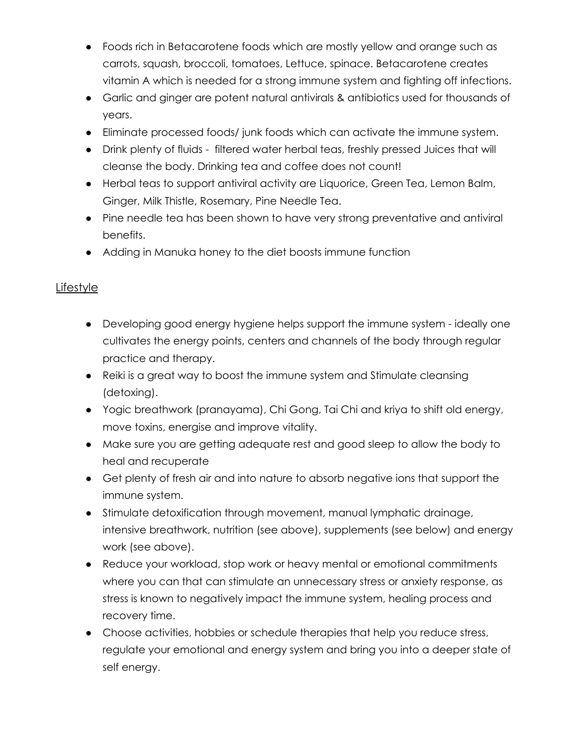- Foods rich in Betacarotene foods which are mostly yellow and orange such as carrots, squash, broccoli, tomatoes, Lettuce, spinace. Betacarotene creates vitamin A which is needed for a strong immune system and fighting off infections.
- Garlic and ginger are potent natural antivirals & antibiotics used for thousands of years.
- Eliminate processed foods/ junk foods which can activate the immune system.
- Drink plenty of fluids filtered water herbal teas, freshly pressed Juices that will cleanse the body. Drinking tea and coffee does not count!
- Herbal teas to support antiviral activity are Liquorice, Green Tea, Lemon Balm, Ginger, Milk Thistle, Rosemary, Pine Needle Tea.
- Pine needle tea has been shown to have very strong preventative and antiviral benefits.
- Adding in Manuka honey to the diet boosts immune function

## **Lifestyle**

- Developing good energy hygiene helps support the immune system ideally one cultivates the energy points, centers and channels of the body through regular practice and therapy.
- Reiki is a great way to boost the immune system and Stimulate cleansing (detoxing).
- Yogic breathwork (pranayama), Chi Gong, Tai Chi and kriya to shift old energy, move toxins, energise and improve vitality.
- Make sure you are getting adequate rest and good sleep to allow the body to heal and recuperate
- Get plenty of fresh air and into nature to absorb negative ions that support the immune system.
- Stimulate detoxification through movement, manual lymphatic drainage, intensive breathwork, nutrition (see above), supplements (see below) and energy work (see above).
- Reduce your workload, stop work or heavy mental or emotional commitments where you can that can stimulate an unnecessary stress or anxiety response, as stress is known to negatively impact the immune system, healing process and recovery time.
- Choose activities, hobbies or schedule therapies that help you reduce stress, regulate your emotional and energy system and bring you into a deeper state of self energy.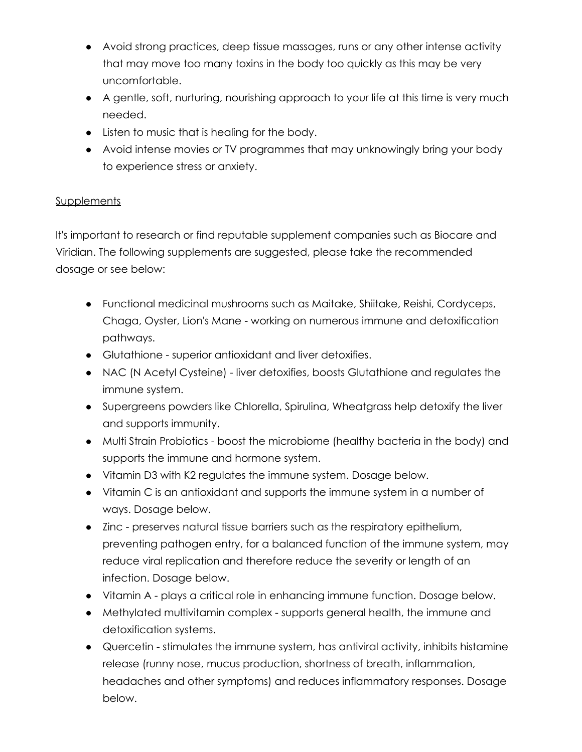- Avoid strong practices, deep tissue massages, runs or any other intense activity that may move too many toxins in the body too quickly as this may be very uncomfortable.
- A gentle, soft, nurturing, nourishing approach to your life at this time is very much needed.
- Listen to music that is healing for the body.
- Avoid intense movies or TV programmes that may unknowingly bring your body to experience stress or anxiety.

## **Supplements**

It's important to research or find reputable supplement companies such as Biocare and Viridian. The following supplements are suggested, please take the recommended dosage or see below:

- Functional medicinal mushrooms such as Maitake, Shiitake, Reishi, Cordyceps, Chaga, Oyster, Lion's Mane - working on numerous immune and detoxification pathways.
- Glutathione superior antioxidant and liver detoxifies.
- NAC (N Acetyl Cysteine) liver detoxifies, boosts Glutathione and regulates the immune system.
- Supergreens powders like Chlorella, Spirulina, Wheatgrass help detoxify the liver and supports immunity.
- Multi Strain Probiotics boost the microbiome (healthy bacteria in the body) and supports the immune and hormone system.
- Vitamin D3 with K2 regulates the immune system. Dosage below.
- Vitamin C is an antioxidant and supports the immune system in a number of ways. Dosage below.
- Zinc preserves natural tissue barriers such as the respiratory epithelium, preventing pathogen entry, for a balanced function of the immune system, may reduce viral replication and therefore reduce the severity or length of an infection. Dosage below.
- Vitamin A plays a critical role in enhancing immune function. Dosage below.
- Methylated multivitamin complex supports general health, the immune and detoxification systems.
- Quercetin stimulates the immune system, has antiviral activity, inhibits histamine release (runny nose, mucus production, shortness of breath, inflammation, headaches and other symptoms) and reduces inflammatory responses. Dosage below.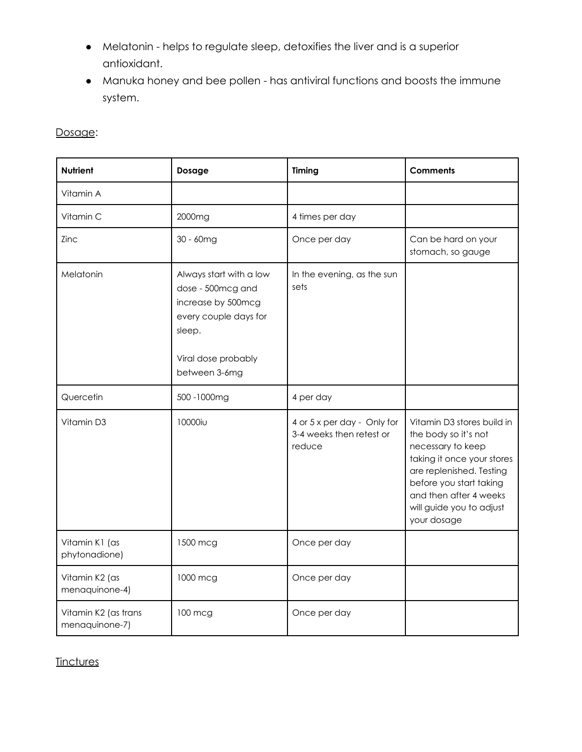- Melatonin helps to regulate sleep, detoxifies the liver and is a superior antioxidant.
- Manuka honey and bee pollen has antiviral functions and boosts the immune system.

| <b>Nutrient</b>                        | Dosage                                                                                                                                        | Timing                                                            | <b>Comments</b>                                                                                                                                                                                                                   |
|----------------------------------------|-----------------------------------------------------------------------------------------------------------------------------------------------|-------------------------------------------------------------------|-----------------------------------------------------------------------------------------------------------------------------------------------------------------------------------------------------------------------------------|
| Vitamin A                              |                                                                                                                                               |                                                                   |                                                                                                                                                                                                                                   |
| Vitamin C                              | 2000mg                                                                                                                                        | 4 times per day                                                   |                                                                                                                                                                                                                                   |
| Zinc                                   | 30 - 60mg                                                                                                                                     | Once per day                                                      | Can be hard on your<br>stomach, so gauge                                                                                                                                                                                          |
| Melatonin                              | Always start with a low<br>dose - 500mcg and<br>increase by 500mcg<br>every couple days for<br>sleep.<br>Viral dose probably<br>between 3-6mg | In the evening, as the sun<br>sets                                |                                                                                                                                                                                                                                   |
| Quercetin                              | 500 - 1000mg                                                                                                                                  | 4 per day                                                         |                                                                                                                                                                                                                                   |
| Vitamin D3                             | 10000iu                                                                                                                                       | 4 or 5 x per day - Only for<br>3-4 weeks then retest or<br>reduce | Vitamin D3 stores build in<br>the body so it's not<br>necessary to keep<br>taking it once your stores<br>are replenished. Testing<br>before you start taking<br>and then after 4 weeks<br>will guide you to adjust<br>your dosage |
| Vitamin K1 (as<br>phytonadione)        | 1500 mcg                                                                                                                                      | Once per day                                                      |                                                                                                                                                                                                                                   |
| Vitamin K2 (as<br>menaquinone-4)       | 1000 mcg                                                                                                                                      | Once per day                                                      |                                                                                                                                                                                                                                   |
| Vitamin K2 (as trans<br>menaquinone-7) | 100 mcg                                                                                                                                       | Once per day                                                      |                                                                                                                                                                                                                                   |

**Tinctures**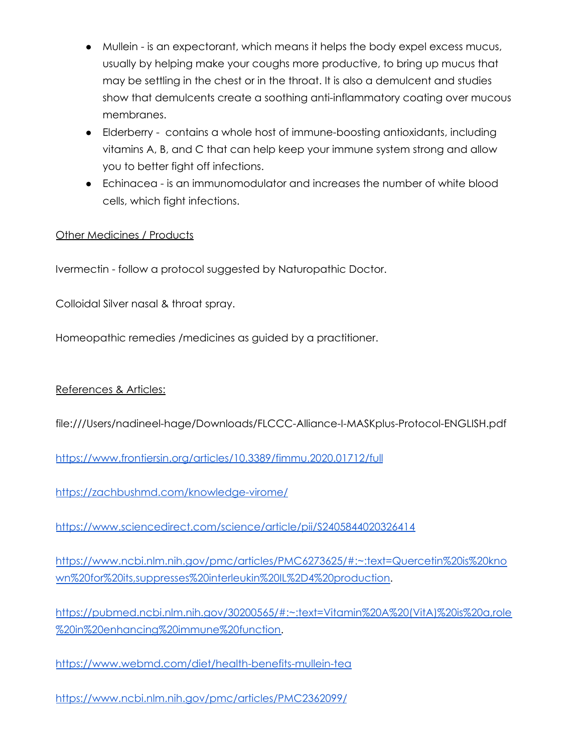- Mullein is an expectorant, which means it helps the body expel excess mucus, usually by helping make your coughs more productive, to bring up mucus that may be settling in the chest or in the throat. It is also a demulcent and studies show that demulcents create a soothing anti-inflammatory coating over mucous membranes.
- Elderberry contains a whole host of immune-boosting antioxidants, including vitamins A, B, and C that can help keep your immune system strong and allow you to better fight off infections.
- Echinacea is an immunomodulator and increases the number of white blood cells, which fight infections.

### **Other Medicines / Products**

Ivermectin - follow a protocol suggested by Naturopathic Doctor.

Colloidal Silver nasal & throat spray.

Homeopathic remedies /medicines as guided by a practitioner.

#### References & Articles:

file:///Users/nadineel-hage/Downloads/FLCCC-Alliance-I-MASKplus-Protocol-ENGLISH.pdf

<https://www.frontiersin.org/articles/10.3389/fimmu.2020.01712/full>

<https://zachbushmd.com/knowledge-virome/>

<https://www.sciencedirect.com/science/article/pii/S2405844020326414>

[https://www.ncbi.nlm.nih.gov/pmc/articles/PMC6273625/#:~:text=Quercetin%20is%20kno](https://www.ncbi.nlm.nih.gov/pmc/articles/PMC6273625/#:~:text=Quercetin%20is%20known%20for%20its,suppresses%20interleukin%20IL%2D4%20production) [wn%20for%20its,suppresses%20interleukin%20IL%2D4%20production.](https://www.ncbi.nlm.nih.gov/pmc/articles/PMC6273625/#:~:text=Quercetin%20is%20known%20for%20its,suppresses%20interleukin%20IL%2D4%20production)

[https://pubmed.ncbi.nlm.nih.gov/30200565/#:~:text=Vitamin%20A%20\(VitA\)%20is%20a,role](https://pubmed.ncbi.nlm.nih.gov/30200565/#:~:text=Vitamin%20A%20(VitA)%20is%20a,role%20in%20enhancing%20immune%20function) [%20in%20enhancing%20immune%20function.](https://pubmed.ncbi.nlm.nih.gov/30200565/#:~:text=Vitamin%20A%20(VitA)%20is%20a,role%20in%20enhancing%20immune%20function)

<https://www.webmd.com/diet/health-benefits-mullein-tea>

<https://www.ncbi.nlm.nih.gov/pmc/articles/PMC2362099/>